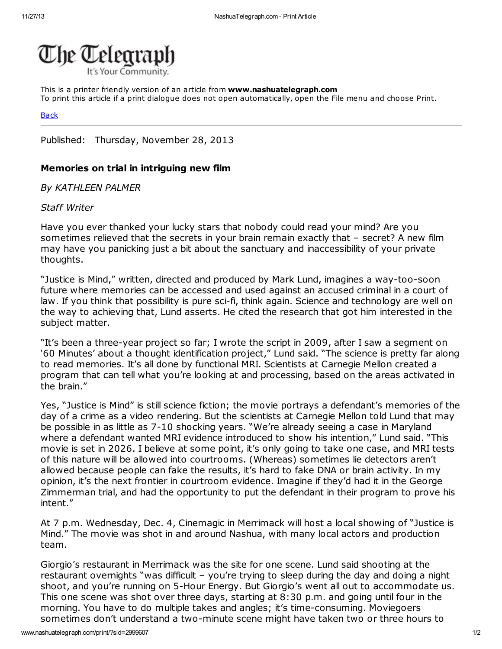

This is a printer friendly version of an article from www.nashuatelegraph.com To print this article if a print dialogue does not open automatically, open the File menu and choose Print.

## **[Back](javascript:history.go(-1))**

Published: Thursday, November 28, 2013

## Memories on trial in intriguing new film

By KATHLEEN PALMER

## Staff Writer

Have you ever thanked your lucky stars that nobody could read your mind? Are you sometimes relieved that the secrets in your brain remain exactly that – secret? A new film may have you panicking just a bit about the sanctuary and inaccessibility of your private thoughts.

"Justice is Mind," written, directed and produced by Mark Lund, imagines a way-too-soon future where memories can be accessed and used against an accused criminal in a court of law. If you think that possibility is pure sci-fi, think again. Science and technology are well on the way to achieving that, Lund asserts. He cited the research that got him interested in the subject matter.

"It's been a three-year project so far; I wrote the script in 2009, after I saw a segment on '60 Minutes' about a thought identification project," Lund said. "The science is pretty far along to read memories. It's all done by functional MRI. Scientists at Carnegie Mellon created a program that can tell what you're looking at and processing, based on the areas activated in the brain."

Yes, "Justice is Mind" is still science fiction; the movie portrays a defendant's memories of the day of a crime as a video rendering. But the scientists at Carnegie Mellon told Lund that may be possible in as little as 7-10 shocking years. "We're already seeing a case in Maryland where a defendant wanted MRI evidence introduced to show his intention," Lund said. "This movie is set in 2026. I believe at some point, it's only going to take one case, and MRI tests of this nature will be allowed into courtrooms. (Whereas) sometimes lie detectors aren't allowed because people can fake the results, it's hard to fake DNA or brain activity. In my opinion, it's the next frontier in courtroom evidence. Imagine if they'd had it in the George Zimmerman trial, and had the opportunity to put the defendant in their program to prove his intent."

At 7 p.m. Wednesday, Dec. 4, Cinemagic in Merrimack will host a local showing of "Justice is Mind." The movie was shot in and around Nashua, with many local actors and production team.

Giorgio's restaurant in Merrimack was the site for one scene. Lund said shooting at the restaurant overnights "was difficult – you're trying to sleep during the day and doing a night shoot, and you're running on 5-Hour Energy. But Giorgio's went all out to accommodate us. This one scene was shot over three days, starting at 8:30 p.m. and going until four in the morning. You have to do multiple takes and angles; it's time-consuming. Moviegoers sometimes don't understand a two-minute scene might have taken two or three hours to